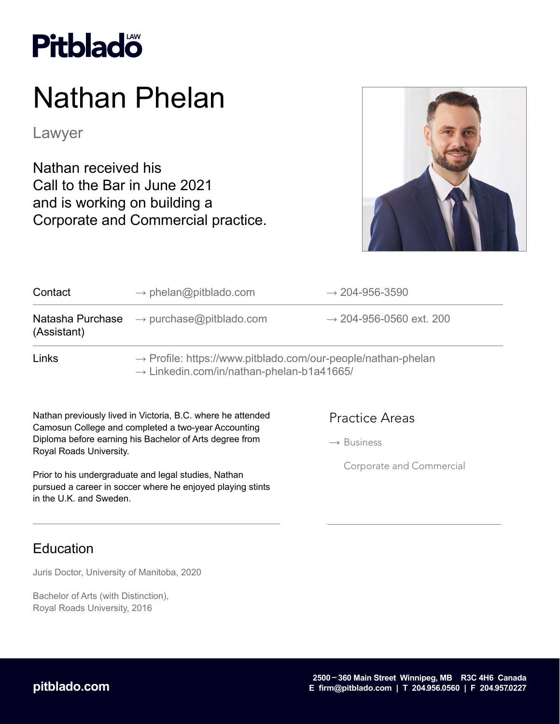

# Nathan Phelan

Lawyer

Nathan received his Call to the Bar in June 2021 and is working on building a Corporate and Commercial practice.



| Contact     | $\rightarrow$ phelan@pitblado.com                                                                                                 | $\rightarrow$ 204-956-3590          |
|-------------|-----------------------------------------------------------------------------------------------------------------------------------|-------------------------------------|
| (Assistant) | <b>Natasha Purchase</b> $\rightarrow$ purchase@pitblado.com                                                                       | $\rightarrow$ 204-956-0560 ext. 200 |
| Links       | $\rightarrow$ Profile: https://www.pitblado.com/our-people/nathan-phelan<br>$\rightarrow$ Linkedin.com/in/nathan-phelan-b1a41665/ |                                     |

Nathan previously lived in Victoria, B.C. where he attended Camosun College and completed a two-year Accounting Diploma before earning his Bachelor of Arts degree from Royal Roads University.

Prior to his undergraduate and legal studies, Nathan pursued a career in soccer where he enjoyed playing stints in the U.K. and Sweden.

#### Practice Areas

 $\rightarrow$  Business

Corporate and Commercial

### Education

Juris Doctor, University of Manitoba, 2020

Bachelor of Arts (with Distinction), Royal Roads University, 2016